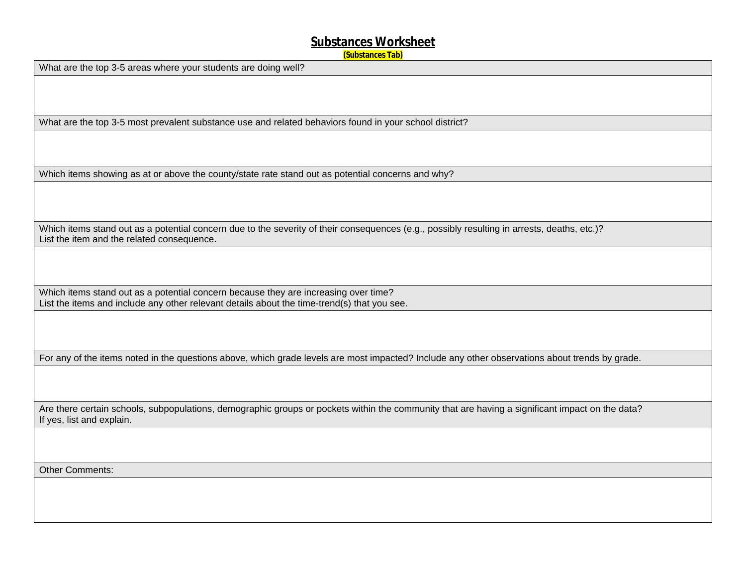#### **Substances Worksheet**

**(Substances Tab)**

What are the top 3-5 areas where your students are doing well?

What are the top 3-5 most prevalent substance use and related behaviors found in your school district?

Which items showing as at or above the county/state rate stand out as potential concerns and why?

Which items stand out as a potential concern due to the severity of their consequences (e.g., possibly resulting in arrests, deaths, etc.)? List the item and the related consequence.

Which items stand out as a potential concern because they are increasing over time? List the items and include any other relevant details about the time-trend(s) that you see.

For any of the items noted in the questions above, which grade levels are most impacted? Include any other observations about trends by grade.

Are there certain schools, subpopulations, demographic groups or pockets within the community that are having a significant impact on the data? If yes, list and explain.

Other Comments: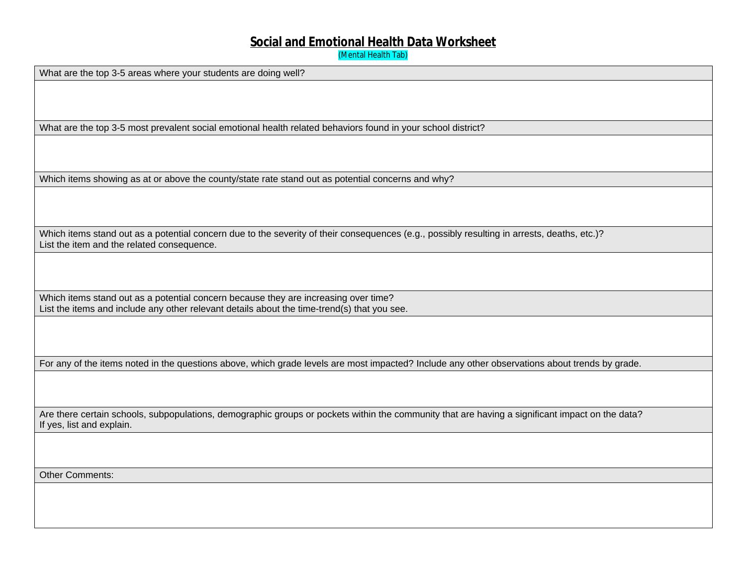### **Social and Emotional Health Data Worksheet**

(Mental Health Tab)

What are the top 3-5 areas where your students are doing well? What are the top 3-5 most prevalent social emotional health related behaviors found in your school district? Which items showing as at or above the county/state rate stand out as potential concerns and why? Which items stand out as a potential concern due to the severity of their consequences (e.g., possibly resulting in arrests, deaths, etc.)? List the item and the related consequence. Which items stand out as a potential concern because they are increasing over time? List the items and include any other relevant details about the time-trend(s) that you see. For any of the items noted in the questions above, which grade levels are most impacted? Include any other observations about trends by grade. Are there certain schools, subpopulations, demographic groups or pockets within the community that are having a significant impact on the data? If yes, list and explain. Other Comments: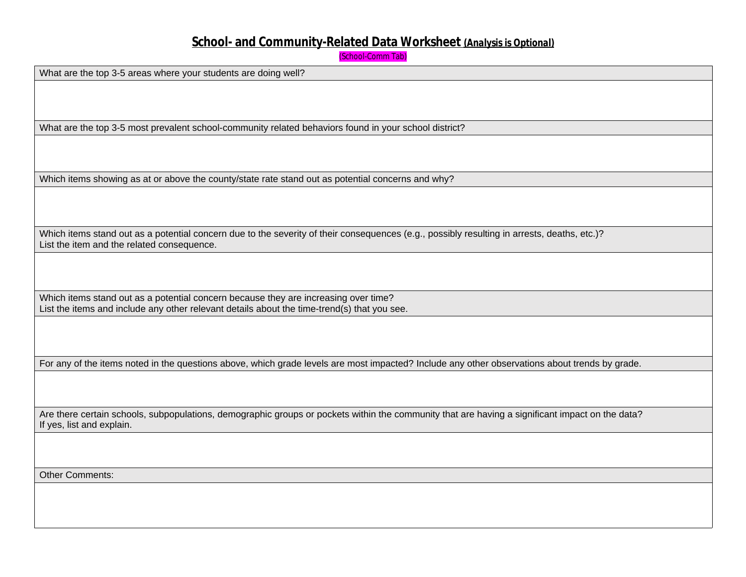# **School- and Community-Related Data Worksheet** *(Analysis is Optional)*

```
(School-Comm Tab)
```

| What are the top 3-5 areas where your students are doing well?<br>What are the top 3-5 most prevalent school-community related behaviors found in your school district?<br>Which items showing as at or above the county/state rate stand out as potential concerns and why?<br>Which items stand out as a potential concern due to the severity of their consequences (e.g., possibly resulting in arrests, deaths, etc.)?<br>List the item and the related consequence.<br>Which items stand out as a potential concern because they are increasing over time?<br>List the items and include any other relevant details about the time-trend(s) that you see.<br>For any of the items noted in the questions above, which grade levels are most impacted? Include any other observations about trends by grade. |
|-------------------------------------------------------------------------------------------------------------------------------------------------------------------------------------------------------------------------------------------------------------------------------------------------------------------------------------------------------------------------------------------------------------------------------------------------------------------------------------------------------------------------------------------------------------------------------------------------------------------------------------------------------------------------------------------------------------------------------------------------------------------------------------------------------------------|
|                                                                                                                                                                                                                                                                                                                                                                                                                                                                                                                                                                                                                                                                                                                                                                                                                   |
|                                                                                                                                                                                                                                                                                                                                                                                                                                                                                                                                                                                                                                                                                                                                                                                                                   |
|                                                                                                                                                                                                                                                                                                                                                                                                                                                                                                                                                                                                                                                                                                                                                                                                                   |
|                                                                                                                                                                                                                                                                                                                                                                                                                                                                                                                                                                                                                                                                                                                                                                                                                   |
|                                                                                                                                                                                                                                                                                                                                                                                                                                                                                                                                                                                                                                                                                                                                                                                                                   |
|                                                                                                                                                                                                                                                                                                                                                                                                                                                                                                                                                                                                                                                                                                                                                                                                                   |
|                                                                                                                                                                                                                                                                                                                                                                                                                                                                                                                                                                                                                                                                                                                                                                                                                   |
|                                                                                                                                                                                                                                                                                                                                                                                                                                                                                                                                                                                                                                                                                                                                                                                                                   |
|                                                                                                                                                                                                                                                                                                                                                                                                                                                                                                                                                                                                                                                                                                                                                                                                                   |
|                                                                                                                                                                                                                                                                                                                                                                                                                                                                                                                                                                                                                                                                                                                                                                                                                   |
|                                                                                                                                                                                                                                                                                                                                                                                                                                                                                                                                                                                                                                                                                                                                                                                                                   |
|                                                                                                                                                                                                                                                                                                                                                                                                                                                                                                                                                                                                                                                                                                                                                                                                                   |
|                                                                                                                                                                                                                                                                                                                                                                                                                                                                                                                                                                                                                                                                                                                                                                                                                   |
|                                                                                                                                                                                                                                                                                                                                                                                                                                                                                                                                                                                                                                                                                                                                                                                                                   |
|                                                                                                                                                                                                                                                                                                                                                                                                                                                                                                                                                                                                                                                                                                                                                                                                                   |
|                                                                                                                                                                                                                                                                                                                                                                                                                                                                                                                                                                                                                                                                                                                                                                                                                   |
|                                                                                                                                                                                                                                                                                                                                                                                                                                                                                                                                                                                                                                                                                                                                                                                                                   |
|                                                                                                                                                                                                                                                                                                                                                                                                                                                                                                                                                                                                                                                                                                                                                                                                                   |
|                                                                                                                                                                                                                                                                                                                                                                                                                                                                                                                                                                                                                                                                                                                                                                                                                   |
|                                                                                                                                                                                                                                                                                                                                                                                                                                                                                                                                                                                                                                                                                                                                                                                                                   |
|                                                                                                                                                                                                                                                                                                                                                                                                                                                                                                                                                                                                                                                                                                                                                                                                                   |
|                                                                                                                                                                                                                                                                                                                                                                                                                                                                                                                                                                                                                                                                                                                                                                                                                   |
|                                                                                                                                                                                                                                                                                                                                                                                                                                                                                                                                                                                                                                                                                                                                                                                                                   |
|                                                                                                                                                                                                                                                                                                                                                                                                                                                                                                                                                                                                                                                                                                                                                                                                                   |
|                                                                                                                                                                                                                                                                                                                                                                                                                                                                                                                                                                                                                                                                                                                                                                                                                   |
| Are there certain schools, subpopulations, demographic groups or pockets within the community that are having a significant impact on the data?                                                                                                                                                                                                                                                                                                                                                                                                                                                                                                                                                                                                                                                                   |
| If yes, list and explain.                                                                                                                                                                                                                                                                                                                                                                                                                                                                                                                                                                                                                                                                                                                                                                                         |
|                                                                                                                                                                                                                                                                                                                                                                                                                                                                                                                                                                                                                                                                                                                                                                                                                   |
|                                                                                                                                                                                                                                                                                                                                                                                                                                                                                                                                                                                                                                                                                                                                                                                                                   |
|                                                                                                                                                                                                                                                                                                                                                                                                                                                                                                                                                                                                                                                                                                                                                                                                                   |
| <b>Other Comments:</b>                                                                                                                                                                                                                                                                                                                                                                                                                                                                                                                                                                                                                                                                                                                                                                                            |
|                                                                                                                                                                                                                                                                                                                                                                                                                                                                                                                                                                                                                                                                                                                                                                                                                   |
|                                                                                                                                                                                                                                                                                                                                                                                                                                                                                                                                                                                                                                                                                                                                                                                                                   |
|                                                                                                                                                                                                                                                                                                                                                                                                                                                                                                                                                                                                                                                                                                                                                                                                                   |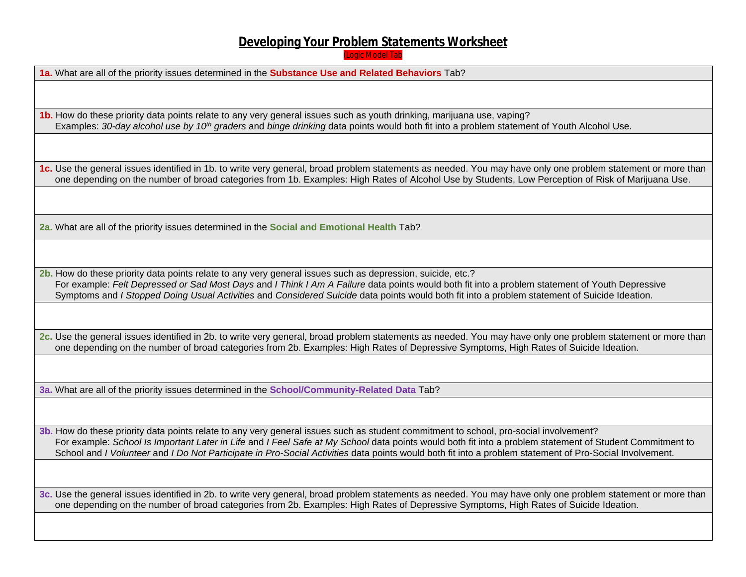# **Developing Your Problem Statements Worksheet**

(Logic Model Tab

**1a.** What are all of the priority issues determined in the **Substance Use and Related Behaviors** Tab?

**1b.** How do these priority data points relate to any very general issues such as youth drinking, marijuana use, vaping? Examples: *30-day alcohol use by 10th graders* and *binge drinking* data points would both fit into a problem statement of Youth Alcohol Use.

**1c.** Use the general issues identified in 1b. to write very general, broad problem statements as needed. You may have only one problem statement or more than one depending on the number of broad categories from 1b. Examples: High Rates of Alcohol Use by Students, Low Perception of Risk of Marijuana Use.

**2a.** What are all of the priority issues determined in the **Social and Emotional Health** Tab?

**2b.** How do these priority data points relate to any very general issues such as depression, suicide, etc.? For example: *Felt Depressed or Sad Most Days* and *I Think I Am A Failure* data points would both fit into a problem statement of Youth Depressive Symptoms and *I Stopped Doing Usual Activities* and *Considered Suicide* data points would both fit into a problem statement of Suicide Ideation.

**2c.** Use the general issues identified in 2b. to write very general, broad problem statements as needed. You may have only one problem statement or more than one depending on the number of broad categories from 2b. Examples: High Rates of Depressive Symptoms, High Rates of Suicide Ideation.

**3a.** What are all of the priority issues determined in the **School/Community-Related Data** Tab?

**3b.** How do these priority data points relate to any very general issues such as student commitment to school, pro-social involvement? For example: *School Is Important Later in Life* and *I Feel Safe at My School* data points would both fit into a problem statement of Student Commitment to School and *I Volunteer* and *I Do Not Participate in Pro-Social Activities* data points would both fit into a problem statement of Pro-Social Involvement.

**3c.** Use the general issues identified in 2b. to write very general, broad problem statements as needed. You may have only one problem statement or more than one depending on the number of broad categories from 2b. Examples: High Rates of Depressive Symptoms, High Rates of Suicide Ideation.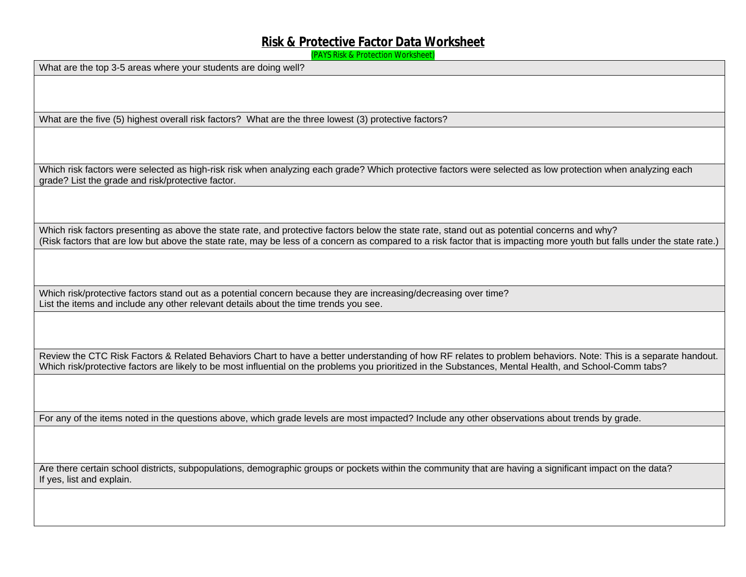# **Risk & Protective Factor Data Worksheet**

(PAYS Risk & Protection Worksheet)

What are the top 3-5 areas where your students are doing well?

What are the five (5) highest overall risk factors? What are the three lowest (3) protective factors?

Which risk factors were selected as high-risk risk when analyzing each grade? Which protective factors were selected as low protection when analyzing each grade? List the grade and risk/protective factor.

Which risk factors presenting as above the state rate, and protective factors below the state rate, stand out as potential concerns and why? (Risk factors that are low but above the state rate, may be less of a concern as compared to a risk factor that is impacting more youth but falls under the state rate.)

Which risk/protective factors stand out as a potential concern because they are increasing/decreasing over time? List the items and include any other relevant details about the time trends you see.

Review the CTC Risk Factors & Related Behaviors Chart to have a better understanding of how RF relates to problem behaviors. Note: This is a separate handout. Which risk/protective factors are likely to be most influential on the problems you prioritized in the Substances, Mental Health, and School-Comm tabs?

For any of the items noted in the questions above, which grade levels are most impacted? Include any other observations about trends by grade.

Are there certain school districts, subpopulations, demographic groups or pockets within the community that are having a significant impact on the data? If yes, list and explain.